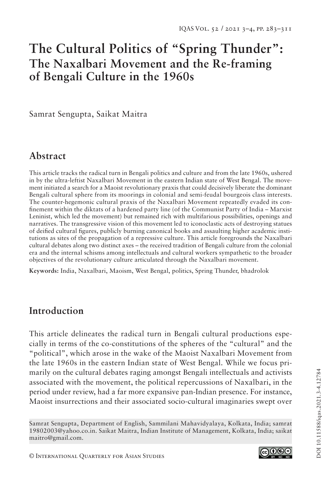# **The Cultural Politics of "Spring Thunder": The Naxalbari Movement and the Re-framing of Bengali Culture in the 1960s**

Samrat Sengupta, Saikat Maitra

## **Abstract**

This article tracks the radical turn in Bengali politics and culture and from the late 1960s, ushered in by the ultra-leftist Naxalbari Movement in the eastern Indian state of West Bengal. The movement initiated a search for a Maoist revolutionary praxis that could decisively liberate the dominant Bengali cultural sphere from its moorings in colonial and semi-feudal bourgeois class interests. The counter-hegemonic cultural praxis of the Naxalbari Movement repeatedly evaded its confinement within the diktats of a hardened party line (of the Communist Party of India – Marxist Leninist, which led the movement) but remained rich with multifarious possibilities, openings and narratives. The transgressive vision of this movement led to iconoclastic acts of destroying statues of deified cultural figures, publicly burning canonical books and assaulting higher academic institutions as sites of the propagation of a repressive culture. This article foregrounds the Naxalbari cultural debates along two distinct axes – the received tradition of Bengali culture from the colonial era and the internal schisms among intellectuals and cultural workers sympathetic to the broader objectives of the revolutionary culture articulated through the Naxalbari movement.

**Keywords:** India, Naxalbari, Maoism, West Bengal, politics, Spring Thunder, bhadrolok

## **Introduction**

This article delineates the radical turn in Bengali cultural productions especially in terms of the co-constitutions of the spheres of the "cultural" and the "political", which arose in the wake of the Maoist Naxalbari Movement from the late 1960s in the eastern Indian state of West Bengal. While we focus primarily on the cultural debates raging amongst Bengali intellectuals and activists associated with the movement, the political repercussions of Naxalbari, in the period under review, had a far more expansive pan-Indian presence. For instance, Maoist insurrections and their associated socio-cultural imaginaries swept over

Samrat Sengupta, Department of English, Sammilani Mahavidyalaya, Kolkata, India; samrat 19802003@yahoo.co.in. Saikat Maitra, Indian Institute of Management, Kolkata, India; saikat maitro@gmail.com.

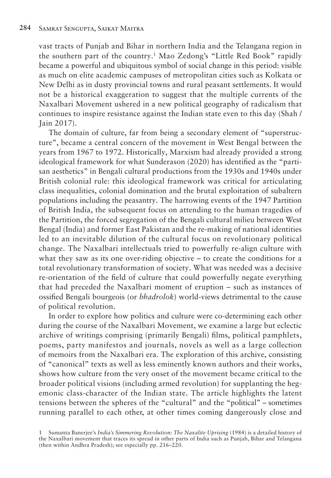vast tracts of Punjab and Bihar in northern India and the Telangana region in the southern part of the country.1 Mao Zedong's "Little Red Book" rapidly became a powerful and ubiquitous symbol of social change in this period: visible as much on elite academic campuses of metropolitan cities such as Kolkata or New Delhi as in dusty provincial towns and rural peasant settlements. It would not be a historical exaggeration to suggest that the multiple currents of the Naxalbari Movement ushered in a new political geography of radicalism that continues to inspire resistance against the Indian state even to this day (Shah / Jain 2017).

The domain of culture, far from being a secondary element of "superstructure", became a central concern of the movement in West Bengal between the years from 1967 to 1972. Historically, Marxism had already provided a strong ideological framework for what Sunderason (2020) has identified as the "partisan aesthetics" in Bengali cultural productions from the 1930s and 1940s under British colonial rule: this ideological framework was critical for articulating class inequalities, colonial domination and the brutal exploitation of subaltern populations including the peasantry. The harrowing events of the 1947 Partition of British India, the subsequent focus on attending to the human tragedies of the Partition, the forced segregation of the Bengali cultural milieu between West Bengal (India) and former East Pakistan and the re-making of national identities led to an inevitable dilution of the cultural focus on revolutionary political change. The Naxalbari intellectuals tried to powerfully re-align culture with what they saw as its one over-riding objective – to create the conditions for a total revolutionary transformation of society. What was needed was a decisive re-orientation of the field of culture that could powerfully negate everything that had preceded the Naxalbari moment of eruption – such as instances of ossified Bengali bourgeois (or *bhadrolok*) world-views detrimental to the cause of political revolution.

In order to explore how politics and culture were co-determining each other during the course of the Naxalbari Movement, we examine a large but eclectic archive of writings comprising (primarily Bengali) films, political pamphlets, poems, party manifestos and journals, novels as well as a large collection of memoirs from the Naxalbari era. The exploration of this archive, consisting of "canonical" texts as well as less eminently known authors and their works, shows how culture from the very onset of the movement became critical to the broader political visions (including armed revolution) for supplanting the hegemonic class-character of the Indian state. The article highlights the latent tensions between the spheres of the "cultural" and the "political" – sometimes running parallel to each other, at other times coming dangerously close and

<sup>1</sup> Sumanta Banerjee's *India's Simmering Revolution: The Naxalite Uprising* (1984) is a detailed history of the Naxalbari movement that traces its spread in other parts of India such as Punjab, Bihar and Telangana (then within Andhra Pradesh); see especially pp. 216–220.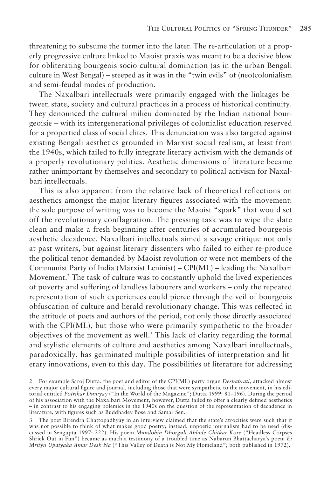threatening to subsume the former into the later. The re-articulation of a properly progressive culture linked to Maoist praxis was meant to be a decisive blow for obliterating bourgeois socio-cultural domination (as in the urban Bengali culture in West Bengal) – steeped as it was in the "twin evils" of (neo)colonialism and semi-feudal modes of production.

The Naxalbari intellectuals were primarily engaged with the linkages between state, society and cultural practices in a process of historical continuity. They denounced the cultural milieu dominated by the Indian national bourgeoisie – with its intergenerational privileges of colonialist education reserved for a propertied class of social elites. This denunciation was also targeted against existing Bengali aesthetics grounded in Marxist social realism, at least from the 1940s, which failed to fully integrate literary activism with the demands of a properly revolutionary politics. Aesthetic dimensions of literature became rather unimportant by themselves and secondary to political activism for Naxalbari intellectuals.

This is also apparent from the relative lack of theoretical reflections on aesthetics amongst the major literary figures associated with the movement: the sole purpose of writing was to become the Maoist "spark" that would set off the revolutionary conflagration. The pressing task was to wipe the slate clean and make a fresh beginning after centuries of accumulated bourgeois aesthetic decadence. Naxalbari intellectuals aimed a savage critique not only at past writers, but against literary dissenters who failed to either re-produce the political tenor demanded by Maoist revolution or were not members of the Communist Party of India (Marxist Leninist) – CPI(ML) – leading the Naxalbari Movement.<sup>2</sup> The task of culture was to constantly uphold the lived experiences of poverty and suffering of landless labourers and workers – only the repeated representation of such experiences could pierce through the veil of bourgeois obfuscation of culture and herald revolutionary change. This was reflected in the attitude of poets and authors of the period, not only those directly associated with the CPI(ML), but those who were primarily sympathetic to the broader objectives of the movement as well.<sup>3</sup> This lack of clarity regarding the formal and stylistic elements of culture and aesthetics among Naxalbari intellectuals, paradoxically, has germinated multiple possibilities of interpretation and literary innovations, even to this day. The possibilities of literature for addressing

<sup>2</sup> For example Saroj Dutta, the poet and editor of the CPI(ML) party organ *Deshabrati*, attacked almost every major cultural figure and journal, including those that were sympathetic to the movement, in his editorial entitled *Potrikar Duniyay* ("In the World of the Magazine"; Dutta 1999: 81–196). During the period of his association with the Naxalbari Movement, however, Dutta failed to offer a clearly defined aesthetics – in contrast to his engaging polemics in the 1940s on the question of the representation of decadence in literature, with figures such as Buddhadev Bose and Samar Sen.

The poet Birendra Chattopadhyay in an interview claimed that the state's atrocities were such that it was not possible to think of what makes good poetry; instead, unpoetic journalism had to be used (discussed in Sengupta 1997: 222). His poem *Mundohin Dhorguli Ahlade Chitkar Kore* ("Headless Corpses Shriek Out in Fun") became as much a testimony of a troubled time as Nabarun Bhattacharya's poem *Ei Mrityu Upatyaka Amar Desh Na* ("This Valley of Death is Not My Homeland"; both published in 1972).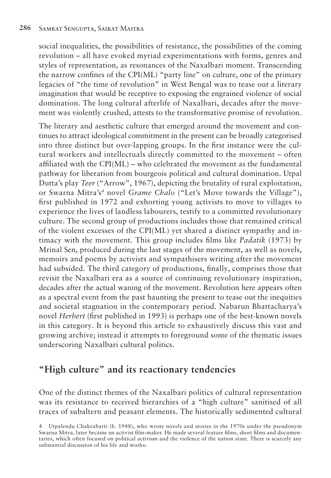social inequalities, the possibilities of resistance, the possibilities of the coming revolution – all have evoked myriad experimentations with forms, genres and styles of representation, as resonances of the Naxalbari moment. Transcending the narrow confines of the CPI(ML) "party line" on culture, one of the primary legacies of "the time of revolution" in West Bengal was to tease out a literary imagination that would be receptive to exposing the engrained violence of social domination. The long cultural afterlife of Naxalbari, decades after the movement was violently crushed, attests to the transformative promise of revolution.

The literary and aesthetic culture that emerged around the movement and continues to attract ideological commitment in the present can be broadly categorised into three distinct but over-lapping groups. In the first instance were the cultural workers and intellectuals directly committed to the movement – often affiliated with the CPI(ML) – who celebrated the movement as the fundamental pathway for liberation from bourgeois political and cultural domination. Utpal Dutta's play *Teer* ("Arrow", 1967), depicting the brutality of rural exploitation, or Swarna Mitra's<sup>4</sup> novel *Grame Chalo* ("Let's Move towards the Village"), first published in 1972 and exhorting young activists to move to villages to experience the lives of landless labourers, testify to a committed revolutionary culture. The second group of productions includes those that remained critical of the violent excesses of the CPI( $ML$ ) yet shared a distinct sympathy and intimacy with the movement. This group includes films like *Padatik* (1973) by Mrinal Sen, produced during the last stages of the movement, as well as novels, memoirs and poems by activists and sympathisers writing after the movement had subsided. The third category of productions, finally, comprises those that revisit the Naxalbari era as a source of continuing revolutionary inspiration, decades after the actual waning of the movement. Revolution here appears often as a spectral event from the past haunting the present to tease out the inequities and societal stagnation in the contemporary period. Nabarun Bhattacharya's novel *Herbert* (first published in 1993) is perhaps one of the best-known novels in this category. It is beyond this article to exhaustively discuss this vast and growing archive; instead it attempts to foreground some of the thematic issues underscoring Naxalbari cultural politics.

## **"High culture" and its reactionary tendencies**

One of the distinct themes of the Naxalbari politics of cultural representation was its resistance to received hierarchies of a "high culture" sanitised of all traces of subaltern and peasant elements. The historically sedimented cultural

<sup>4</sup> Utpalendu Chakrabarti (b. 1948), who wrote novels and stories in the 1970s under the pseudonym Swarna Mitra, later became an activist film-maker. He made several feature films, short films and documentaries, which often focused on political activism and the violence of the nation state. There is scarcely any substantial discussion of his life and works: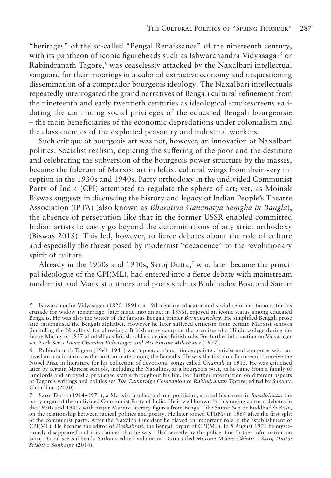"heritages" of the so-called "Bengal Renaissance" of the nineteenth century, with its pantheon of iconic figureheads such as Ishwarchandra Vidyasagar<sup>5</sup> or Rabindranath Tagore,<sup>6</sup> was ceaselessly attacked by the Naxalbari intellectual vanguard for their moorings in a colonial extractive economy and unquestioning dissemination of a comprador bourgeois ideology. The Naxalbari intellectuals repeatedly interrogated the grand narratives of Bengali cultural refinement from the nineteenth and early twentieth centuries as ideological smokescreens validating the continuing social privileges of the educated Bengali bourgeoisie – the main beneficiaries of the economic depredations under colonialism and the class enemies of the exploited peasantry and industrial workers.

Such critique of bourgeois art was not, however, an innovation of Naxalbari politics. Socialist realism, depicting the suffering of the poor and the destitute and celebrating the subversion of the bourgeois power structure by the masses, became the fulcrum of Marxist art in leftist cultural wings from their very inception in the 1930s and 1940s. Party orthodoxy in the undivided Communist Party of India (CPI) attempted to regulate the sphere of art; yet, as Moinak Biswas suggests in discussing the history and legacy of Indian People's Theatre Association (IPTA) (also known as *Bharatiya Gananatya Samgha in Bangla*), the absence of persecution like that in the former USSR enabled committed Indian artists to easily go beyond the determinations of any strict orthodoxy (Biswas 2018). This led, however, to fierce debates about the role of culture and especially the threat posed by modernist "decadence" to the revolutionary spirit of culture.

Already in the 1930s and 1940s, Saroj Dutta,<sup>7</sup> who later became the principal ideologue of the CPI(ML), had entered into a fierce debate with mainstream modernist and Marxist authors and poets such as Buddhadev Bose and Samar

<sup>5</sup> Ishwarchandra Vidyasagar (1820–1891), a 19th-century educator and social reformer famous for his crusade for widow remarriage (later made into an act in 1856), enjoyed an iconic status among educated Bengalis. He was also the writer of the famous Bengali primer *Barnoparichay*. He simplified Bengali prose and rationalised the Bengali alphabet. However he later suffered criticism from certain Marxist schools (including the Naxalites) for allowing a British army camp on the premises of a Hindu college during the Sepoy Mutiny of 1857 of rebellious British soldiers against British rule. For further information on Vidyasagar see Asok Sen's *Iswar Chandra Vidyasagar and His Elusive Milestones* (1977).

<sup>6</sup> Rabindranath Tagore (1961–1941) was a poet, author, thinker, painter, lyricist and composer who enjoyed an iconic status as the poet laureate among the Bengalis. He was the first non-European to receive the Nobel Prize in literature for his collection of devotional songs called *Gitanjali* in 1913. He was criticised later by certain Marxist schools, including the Naxalites, as a bourgeois poet, as he came from a family of landlords and enjoyed a privileged status throughout his life. For further information on different aspects of Tagore's writings and politics see *The Cambridge Companion to Rabindranath Tagore*, edited by Sukanta Chaudhuri (2020).

<sup>7</sup> Saroj Dutta (1914–1971), a Marxist intellectual and politician, started his career in *Swadhinata*, the party organ of the undivided Communist Party of India. He is well known for his raging cultural debates in the 1930s and 1940s with major Marxist literary figures from Bengal, like Samar Sen or Buddhadeb Bose, on the relationship between radical politics and poetry. He later joined CPI(M) in 1964 after the first split of the communist party. After the Naxalbari incident he played an important role in the establishment of CPI(ML). He became the editor of *Deshabrati*, the Bengali organ of CPI(ML). In 5 August 1971 he mysteriously disappeared and it is claimed that he was killed secretly by the police. For further information on Saroj Dutta, see Sukhendu Sarkar's edited volume on Dutta titled *Morone Meleni Chhuti – Saroj Dutta: Srishti o Sonkolpe* (2014).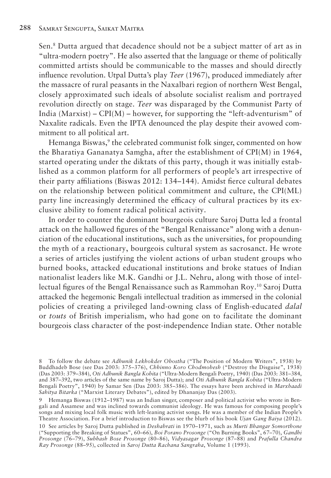Sen.8 Dutta argued that decadence should not be a subject matter of art as in "ultra-modern poetry". He also asserted that the language or theme of politically committed artists should be communicable to the masses and should directly influence revolution. Utpal Dutta's play *Teer* (1967), produced immediately after the massacre of rural peasants in the Naxalbari region of northern West Bengal, closely approximated such ideals of absolute socialist realism and portrayed revolution directly on stage. *Teer* was disparaged by the Communist Party of India (Marxist) – CPI(M) – however, for supporting the "left-adventurism" of Naxalite radicals. Even the IPTA denounced the play despite their avowed commitment to all political art.

Hemanga Biswas,<sup>9</sup> the celebrated communist folk singer, commented on how the Bharatiya Gananatya Samgha, after the establishment of CPI(M) in 1964, started operating under the diktats of this party, though it was initially established as a common platform for all performers of people's art irrespective of their party affiliations (Biswas 2012: 134–144). Amidst fierce cultural debates on the relationship between political commitment and culture, the CPI(ML) party line increasingly determined the efficacy of cultural practices by its exclusive ability to foment radical political activity.

In order to counter the dominant bourgeois culture Saroj Dutta led a frontal attack on the hallowed figures of the "Bengal Renaissance" along with a denunciation of the educational institutions, such as the universities, for propounding the myth of a reactionary, bourgeois cultural system as sacrosanct. He wrote a series of articles justifying the violent actions of urban student groups who burned books, attacked educational institutions and broke statues of Indian nationalist leaders like M.K. Gandhi or J.L. Nehru, along with those of intellectual figures of the Bengal Renaissance such as Rammohan Roy.10 Saroj Dutta attacked the hegemonic Bengali intellectual tradition as immersed in the colonial policies of creating a privileged land-owning class of English-educated *dalal* or *touts* of British imperialism, who had gone on to facilitate the dominant bourgeois class character of the post-independence Indian state. Other notable

<sup>8</sup> To follow the debate see *Adhunik Lekhokder Obostha* ("The Position of Modern Writers", 1938) by Buddhadeb Bose (see Das 2003: 375–376), *Chhinno Koro Chodmobesh* ("Destroy the Disguise", 1938) (Das 2003: 379–384), *Oti Adhunik Bangla Kobita* ("Ultra-Modern Bengali Poetry, 1940) (Das 2003: 381–384, and 387–392, two articles of the same name by Saroj Dutta); and *Oti Adhunik Bangla Kobita* ("Ultra-Modern Bengali Poetry", 1940) by Samar Sen (Das 2003: 385–386). The essays have been archived in *Marxbaadi Sahitya Bitarka* ("Marxist Literary Debates"), edited by Dhananjay Das (2003).

Hemanga Biswas (1912–1987) was an Indian singer, composer and political activist who wrote in Bengali and Assamese and was inclined towards communist ideology. He was famous for composing people's songs and mixing local folk music with left-leaning activist songs. He was a member of the Indian People's Theatre Association. For a brief introduction to Biswas see the blurb of his book *Ujan Gang Baiya* (2012).

<sup>10</sup> See articles by Saroj Dutta published in *Deshabrati* in 1970–1971, such as *Murti Bhangar Somorthone*  ("Supporting the Breaking of Statues", 60–66), *Boi Porano Prosonge* ("On Burning Books", 67–70), *Gandhi Prosonge* (76–79), *Subhash Bose Prosonge* (80–86), *Vidyasagar Prosonge* (87–88) and *Prafulla Chandra Ray Prosonge* (88–95), collected in *Saroj Dutta Rachana Sangraha*, Volume 1 (1993).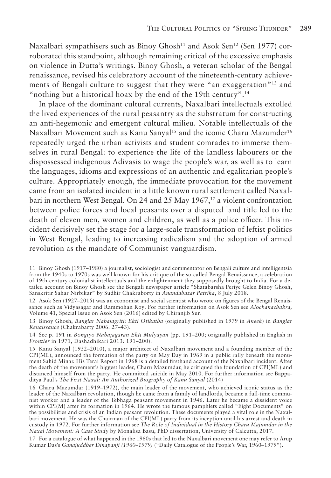Naxalbari sympathisers such as Binoy Ghosh<sup>11</sup> and Asok Sen<sup>12</sup> (Sen 1977) corroborated this standpoint, although remaining critical of the excessive emphasis on violence in Dutta's writings. Binoy Ghosh, a veteran scholar of the Bengal renaissance, revised his celebratory account of the nineteenth-century achievements of Bengali culture to suggest that they were "an exaggeration"13 and "nothing but a historical hoax by the end of the 19th century".14

In place of the dominant cultural currents, Naxalbari intellectuals extolled the lived experiences of the rural peasantry as the substratum for constructing an anti-hegemonic and emergent cultural milieu. Notable intellectuals of the Naxalbari Movement such as Kanu Sanyal<sup>15</sup> and the iconic Charu Mazumder<sup>16</sup> repeatedly urged the urban activists and student comrades to immerse themselves in rural Bengal: to experience the life of the landless labourers or the dispossessed indigenous Adivasis to wage the people's war, as well as to learn the languages, idioms and expressions of an authentic and egalitarian people's culture. Appropriately enough, the immediate provocation for the movement came from an isolated incident in a little known rural settlement called Naxalbari in northern West Bengal. On 24 and 25 May 1967,<sup>17</sup> a violent confrontation between police forces and local peasants over a disputed land title led to the death of eleven men, women and children, as well as a police officer. This incident decisively set the stage for a large-scale transformation of leftist politics in West Bengal, leading to increasing radicalism and the adoption of armed revolution as the mandate of Communist vanguardism.

<sup>11</sup> Binoy Ghosh (1917–1980) a journalist, sociologist and commentator on Bengali culture and intelligentsia from the 1940s to 1970s was well known for his critique of the so-called Bengal Renaissance, a celebration of 19th-century colonialist intellectuals and the enlightenment they supposedly brought to India. For a detailed account on Binoy Ghosh see the Bengali newspaper article "Shatabarsha Periye Gelen Binoy Ghosh, Sanskritir Sahar Nirbikar" by Sudhir Chakraborty in *Anandabazar Patrika*, 8 July 2018.

<sup>12</sup> Asok Sen (1927–2015) was an economist and social scientist who wrote on figures of the Bengal Renaissance such as Vidyasagar and Rammohan Roy. For further information on Asok Sen see *Alochanachakra,*  Volume 41, Special Issue on Asok Sen (2016) edited by Chiranjib Sur.

<sup>13</sup> Binoy Ghosh, *Banglar Nabajagriti: Ekti Otikatha* (originally published in 1979 in *Aneek*) in *Banglar Renaissance* (Chakrabarty 2006: 27–43).

<sup>14</sup> See p. 191 in *Bongiyo Nabajagaran Ekti Mulyayan* (pp. 191–200; originally published in English in *Frontier* in 1971, Dashadhikari 2013: 191–200).

<sup>15</sup> Kanu Sanyal (1932–2010), a major architect of Naxalbari movement and a founding member of the CPI(ML), announced the formation of the party on May Day in 1969 in a public rally beneath the monument Sahid Minar. His Terai Report in 1968 is a detailed firsthand account of the Naxalbari incident. After the death of the movement's biggest leader, Charu Mazumdar, he critiqued the foundation of CPI(ML) and distanced himself from the party. He committed suicide in May 2010. For further information see Bappaditya Paul's *The First Naxal: An Authorized Biography of Kanu Sanyal* (2014)

<sup>16</sup> Charu Mazumdar (1919–1972), the main leader of the movement, who achieved iconic status as the leader of the Naxalbari revolution, though he came from a family of landlords, became a full-time communist worker and a leader of the Tebhaga peasant movement in 1946. Later he became a dissident voice within CPI(M) after its formation in 1964. He wrote the famous pamphlets called "Eight Documents" on the possibilities and crisis of an Indian peasant revolution. These documents played a vital role in the Naxalbari movement. He was the Chairman of the CPI(ML) party from its inception until his arrest and death in custody in 1972. For further information see *The Role of Individual in the History Charu Majumdar in the Naxal Movement: A Case Study* by Monalisa Basu, PhD dissertation, University of Calcutta, 2017.

<sup>17</sup> For a catalogue of what happened in the 1960s that led to the Naxalbari movement one may refer to Arup Kumar Das's *Ganajuddher Dinapanji (1960–1979)* ("Daily Catalogue of the People's War, 1960–1979").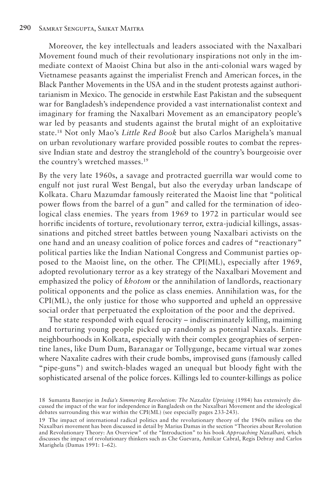Moreover, the key intellectuals and leaders associated with the Naxalbari Movement found much of their revolutionary inspirations not only in the immediate context of Maoist China but also in the anti-colonial wars waged by Vietnamese peasants against the imperialist French and American forces, in the Black Panther Movements in the USA and in the student protests against authoritarianism in Mexico. The genocide in erstwhile East Pakistan and the subsequent war for Bangladesh's independence provided a vast internationalist context and imaginary for framing the Naxalbari Movement as an emancipatory people's war led by peasants and students against the brutal might of an exploitative state.18 Not only Mao's *Little Red Book* but also Carlos Marighela's manual on urban revolutionary warfare provided possible routes to combat the repressive Indian state and destroy the stranglehold of the country's bourgeoisie over the country's wretched masses.<sup>19</sup>

By the very late 1960s, a savage and protracted guerrilla war would come to engulf not just rural West Bengal, but also the everyday urban landscape of Kolkata. Charu Mazumdar famously reiterated the Maoist line that "political power flows from the barrel of a gun" and called for the termination of ideological class enemies. The years from 1969 to 1972 in particular would see horrific incidents of torture, revolutionary terror, extra-judicial killings, assassinations and pitched street battles between young Naxalbari activists on the one hand and an uneasy coalition of police forces and cadres of "reactionary" political parties like the Indian National Congress and Communist parties opposed to the Maoist line, on the other. The CPI(ML), especially after 1969, adopted revolutionary terror as a key strategy of the Naxalbari Movement and emphasized the policy of *khotom* or the annihilation of landlords, reactionary political opponents and the police as class enemies. Annihilation was, for the CPI(ML), the only justice for those who supported and upheld an oppressive social order that perpetuated the exploitation of the poor and the deprived.

The state responded with equal ferocity – indiscriminately killing, maiming and torturing young people picked up randomly as potential Naxals. Entire neighbourhoods in Kolkata, especially with their complex geographies of serpentine lanes, like Dum Dum, Baranagar or Tollygunge, became virtual war zones where Naxalite cadres with their crude bombs, improvised guns (famously called "pipe-guns") and switch-blades waged an unequal but bloody fight with the sophisticated arsenal of the police forces. Killings led to counter-killings as police

<sup>18</sup> Sumanta Banerjee in *India's Simmering Revolution: The Naxalite Uprising* (1984) has extensively discussed the impact of the war for independence in Bangladesh on the Naxalbari Movement and the ideological debates surrounding this war within the CPI(ML) (see especially pages 233-243).

<sup>19</sup> The impact of international radical politics and the revolutionary theory of the 1960s milieu on the Naxalbari movement has been discussed in detail by Marius Damas in the section "Theories about Revolution and Revolutionary Theory: An Overview" of the "Introduction" to his book *Approaching Naxalbari,* which discusses the impact of revolutionary thinkers such as Che Guevara, Amilcar Cabral, Regis Debray and Carlos Marighela (Damas 1991: 1–62).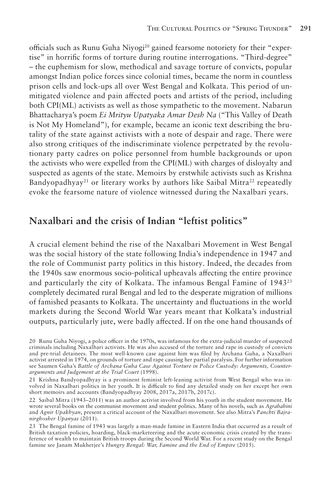officials such as Runu Guha Niyogi<sup>20</sup> gained fearsome notoriety for their "expertise" in horrific forms of torture during routine interrogations. "Third-degree" – the euphemism for slow, methodical and savage torture of convicts, popular amongst Indian police forces since colonial times, became the norm in countless prison cells and lock-ups all over West Bengal and Kolkata. This period of unmitigated violence and pain affected poets and artists of the period, including both CPI(ML) activists as well as those sympathetic to the movement. Nabarun Bhattacharya's poem *Ei Mrityu Upatyaka Amar Desh Na* ("This Valley of Death is Not My Homeland"), for example, became an iconic text describing the brutality of the state against activists with a note of despair and rage. There were also strong critiques of the indiscriminate violence perpetrated by the revolutionary party cadres on police personnel from humble backgrounds or upon the activists who were expelled from the CPI(ML) with charges of disloyalty and suspected as agents of the state. Memoirs by erstwhile activists such as Krishna Bandyopadhyay<sup>21</sup> or literary works by authors like Saibal Mitra<sup>22</sup> repeatedly evoke the fearsome nature of violence witnessed during the Naxalbari years.

#### **Naxalbari and the crisis of Indian "leftist politics"**

A crucial element behind the rise of the Naxalbari Movement in West Bengal was the social history of the state following India's independence in 1947 and the role of Communist party politics in this history. Indeed, the decades from the 1940s saw enormous socio-political upheavals affecting the entire province and particularly the city of Kolkata. The infamous Bengal Famine of 194323 completely decimated rural Bengal and led to the desperate migration of millions of famished peasants to Kolkata. The uncertainty and fluctuations in the world markets during the Second World War years meant that Kolkata's industrial outputs, particularly jute, were badly affected. If on the one hand thousands of

<sup>20</sup> Runu Guha Niyogi, a police officer in the 1970s, was infamous for the extra-judicial murder of suspected criminals including Naxalbari activists. He was also accused of the torture and rape in custody of convicts and pre-trial detainees. The most well-known case against him was filed by Archana Guha, a Naxalbari activist arrested in 1974, on grounds of torture and rape causing her partial paralysis. For further information see Saumen Guha's *Battle of Archana Guha Case Against Torture in Police Custody: Arguments, Counterarguments and Judgement at the Trial Court* (1998).

<sup>21</sup> Krishna Bandyopadhyay is a prominent feminist left-leaning activist from West Bengal who was involved in Naxalbari politics in her youth. It is difficult to find any detailed study on her except her own short memoirs and accounts (Bandyopadhyay 2008, 2017a, 2017b, 2017c).

<sup>22</sup> Saibal Mitra (1943–2011) was an author activist involved from his youth in the student movement. He wrote several books on the communist movement and student politics. Many of his novels, such as *Agrabahini* and *Agnir Upakhyan*, present a critical account of the Naxalbari movement. See also Mitra's *Panchti Bajranirghosher Upanyas* (2011).

<sup>23</sup> The Bengal famine of 1943 was largely a man-made famine in Eastern India that occurred as a result of British taxation policies, hoarding, black-marketeering and the acute economic crisis created by the transference of wealth to maintain British troops during the Second World War. For a recent study on the Bengal famine see Janam Mukherjee's *Hungry Bengal: War, Famine and the End of Empire* (2015).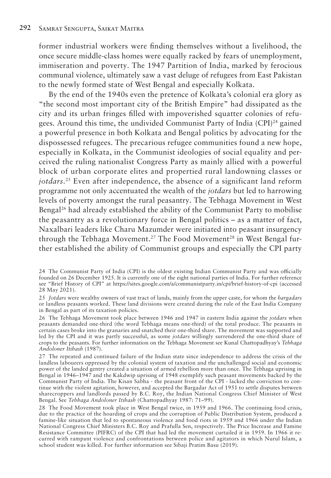former industrial workers were finding themselves without a livelihood, the once secure middle-class homes were equally racked by fears of unemployment, immiseration and poverty. The 1947 Partition of India, marked by ferocious communal violence, ultimately saw a vast deluge of refugees from East Pakistan to the newly formed state of West Bengal and especially Kolkata.

By the end of the 1940s even the pretence of Kolkata's colonial era glory as "the second most important city of the British Empire" had dissipated as the city and its urban fringes filled with impoverished squatter colonies of refugees. Around this time, the undivided Communist Party of India (CPI)24 gained a powerful presence in both Kolkata and Bengal politics by advocating for the dispossessed refugees. The precarious refugee communities found a new hope, especially in Kolkata, in the Communist ideologies of social equality and perceived the ruling nationalist Congress Party as mainly allied with a powerful block of urban corporate elites and propertied rural landowning classes or *jotdars*. 25 Even after independence, the absence of a significant land reform programme not only accentuated the wealth of the *jotdars* but led to harrowing levels of poverty amongst the rural peasantry. The Tebhaga Movement in West Bengal26 had already established the ability of the Communist Party to mobilise the peasantry as a revolutionary force in Bengal politics – as a matter of fact, Naxalbari leaders like Charu Mazumder were initiated into peasant insurgency through the Tebhaga Movement.<sup>27</sup> The Food Movement<sup>28</sup> in West Bengal further established the ability of Communist groups and especially the CPI party

<sup>24</sup> The Communist Party of India (CPI) is the oldest existing Indian Communist Party and was officially founded on 26 December 1925. It is currently one of the eight national parties of India. For further reference see "Brief History of CPI" at https://sites.google.com/a/communistparty.in/cpi/brief-history-of-cpi (accessed 28 May 2021).

<sup>25</sup> *Jotdars* were wealthy owners of vast tract of lands, mainly from the upper caste, for whom the *bargadars*  or landless peasants worked. These land divisions were created during the rule of the East India Company in Bengal as part of its taxation policies.

<sup>26</sup> The Tebhaga Movement took place between 1946 and 1947 in eastern India against the *jotdars* when peasants demanded one-third (the word Tebhaga means one-third) of the total produce. The peasants in certain cases broke into the granaries and snatched their one-third share. The movement was supported and led by the CPI and it was partly successful, as some *jotdars* willingly surrendered the one-third share of crops to the peasants. For further information on the Tebhaga Movement see Kunal Chattopadhyay's *Tebhaga Andoloner Itihash* (1987).

<sup>27</sup> The repeated and continued failure of the Indian state since independence to address the crisis of the landless labourers oppressed by the colonial system of taxation and the unchallenged social and economic power of the landed gentry created a situation of armed rebellion more than once. The Tebhaga uprising in Bengal in 1946–1947 and the Kakdwip uprising of 1948 exemplify such peasant movements backed by the Communist Party of India. The Kisan Sabha - the peasant front of the CPI - lacked the conviction to continue with the violent agitation, however, and accepted the Bargadar Act of 1951 to settle disputes between sharecroppers and landlords passed by B.C. Roy, the Indian National Congress Chief Minister of West Bengal. See *Tebhaga Andoloner Itihash* (Chattopadhyay 1987: 71–99).

<sup>28</sup> The Food Movement took place in West Bengal twice, in 1959 and 1966. The continuing food crisis, due to the practice of the hoarding of crops and the corruption of Public Distribution System, produced a famine-like situation that led to spontaneous violence and food riots in 1959 and 1966 under the Indian National Congress Chief Ministers B.C. Roy and Prafulla Sen, respectively. The Price Increase and Famine Resistance Committee (PIFRC) of the CPI that had led the movement curtailed it in 1959. In 1966 it recurred with rampant violence and confrontations between police and agitators in which Nurul Islam, a school student was killed. For further information see Sibaji Pratim Basu (2019).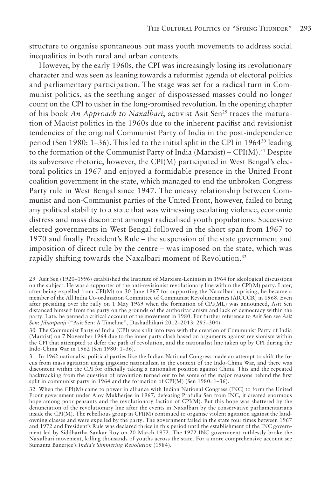structure to organise spontaneous but mass youth movements to address social inequalities in both rural and urban contexts.

However, by the early 1960s, the CPI was increasingly losing its revolutionary character and was seen as leaning towards a reformist agenda of electoral politics and parliamentary participation. The stage was set for a radical turn in Communist politics, as the seething anger of dispossessed masses could no longer count on the CPI to usher in the long-promised revolution. In the opening chapter of his book *An Approach to Naxalbari*, activist Asit Sen<sup>29</sup> traces the maturation of Maoist politics in the 1960s due to the inherent pacifist and revisionist tendencies of the original Communist Party of India in the post-independence period (Sen 1980:  $1-36$ ). This led to the initial split in the CPI in 1964<sup>30</sup> leading to the formation of the Communist Party of India (Marxist) –  $CPI(M)$ .<sup>31</sup> Despite its subversive rhetoric, however, the  $CPI(M)$  participated in West Bengal's electoral politics in 1967 and enjoyed a formidable presence in the United Front coalition government in the state, which managed to end the unbroken Congress Party rule in West Bengal since 1947. The uneasy relationship between Communist and non-Communist parties of the United Front, however, failed to bring any political stability to a state that was witnessing escalating violence, economic distress and mass discontent amongst radicalised youth populations. Successive elected governments in West Bengal followed in the short span from 1967 to 1970 and finally President's Rule – the suspension of the state government and imposition of direct rule by the centre – was imposed on the state, which was rapidly shifting towards the Naxalbari moment of Revolution.<sup>32</sup>

<sup>29</sup> Asit Sen (1920–1996) established the Institute of Marxism-Leninism in 1964 for ideological discussions on the subject. He was a supporter of the anti-revisionist revolutionary line within the CPI(M) party. Later, after being expelled from CPI(M) on 30 June 1967 for supporting the Naxalbari uprising, he became a member of the All India Co-ordination Committee of Communist Revolutionaries (AICCCR) in 1968. Even after presiding over the rally on 1 May 1969 when the formation of CPI(ML) was announced, Asit Sen distanced himself from the party on the grounds of the authoritarianism and lack of democracy within the party. Late, he penned a critical account of the movement in 1980. For further reference to Asit Sen see *Asit Sen: Jibanpanji* ("Asit Sen: A Timeline", Dashadhikari 2012–2013: 295–304).

<sup>30</sup> The Communist Party of India (CPI) was split into two with the creation of Communist Party of India (Marxist) on 7 November 1964 due to the inner party clash based on arguments against revisionism within the CPI that attempted to defer the path of revolution, and the nationalist line taken up by CPI during the Indo-China War in 1962 (Sen 1980: 1–36).

<sup>31</sup> In 1962 nationalist political parties like the Indian National Congress made an attempt to shift the focus from mass agitation using jingoistic nationalism in the context of the Indo-China War, and there was discontent within the CPI for officially taking a nationalist position against China. This and the repeated backtracking from the question of revolution turned out to be some of the major reasons behind the first split in communist party in 1964 and the formation of CPI(M) (Sen 1980: 1–36).

<sup>32</sup> When the CPI(M) came to power in alliance with Indian National Congress (INC) to form the United Front government under Ajoy Mukherjee in 1967, defeating Prafulla Sen from INC, it created enormous hope among poor peasants and the revolutionary faction of CPI(M). But this hope was shattered by the denunciation of the revolutionary line after the events in Naxalbari by the conservative parliamentarians inside the CPI(M). The rebellious group in CPI(M) continued to organise violent agitation against the landowning classes and were expelled by the party. The government failed in the state four times between 1967 and 1972 and President's Rule was declared thrice in this period until the establishment of the INC government led by Siddhartha Sankar Roy on 20 March 1972. The 1972 INC government ruthlessly broke the Naxalbari movement, killing thousands of youths across the state. For a more comprehensive account see Sumanta Banerjee's *India's Simmering Revolution* (1984).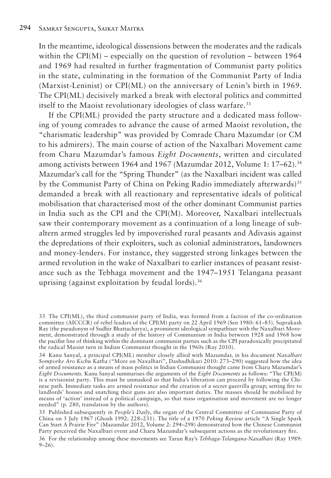In the meantime, ideological dissensions between the moderates and the radicals within the CPI( $M$ ) – especially on the question of revolution – between 1964 and 1969 had resulted in further fragmentation of Communist party politics in the state, culminating in the formation of the Communist Party of India (Marxist-Leninist) or CPI(ML) on the anniversary of Lenin's birth in 1969. The CPI(ML) decisively marked a break with electoral politics and committed itself to the Maoist revolutionary ideologies of class warfare.<sup>33</sup>

If the CPI(ML) provided the party structure and a dedicated mass following of young comrades to advance the cause of armed Maoist revolution, the "charismatic leadership" was provided by Comrade Charu Mazumdar (or CM to his admirers). The main course of action of the Naxalbari Movement came from Charu Mazumdar's famous *Eight Documents*, written and circulated among activists between 1964 and 1967 (Mazumdar 2012, Volume 1:  $17-62$ ).<sup>34</sup> Mazumdar's call for the "Spring Thunder" (as the Naxalbari incident was called by the Communist Party of China on Peking Radio immediately afterwards)<sup>35</sup> demanded a break with all reactionary and representative ideals of political mobilisation that characterised most of the other dominant Communist parties in India such as the CPI and the CPI(M). Moreover, Naxalbari intellectuals saw their contemporary movement as a continuation of a long lineage of subaltern armed struggles led by impoverished rural peasants and Adivasis against the depredations of their exploiters, such as colonial administrators, landowners and money-lenders. For instance, they suggested strong linkages between the armed revolution in the wake of Naxalbari to earlier instances of peasant resistance such as the Tebhaga movement and the 1947–1951 Telangana peasant uprising (against exploitation by feudal lords).36

35 Published subsequently in *People's Daily*, the organ of the Central Committee of Communist Party of China on 5 July 1967 (Ghosh 1992: 228–231). The title of a 1970 *Peking Review* article "A Single Spark Can Start A Prairie Fire" (Mazumdar 2012, Volume 2: 294–298) demonstrated how the Chinese Communist Party perceived the Naxalbari event and Charu Mazumdar's subsequent actions as the revolutionary fire.

36 For the relationship among these movements see Tarun Ray's *Tebhaga-Telangana-Naxalbari* (Ray 1989:  $9-26$ ).

<sup>33</sup> The CPI(ML), the third communist party of India, was formed from a faction of the co-ordination committee (AICCCR) of rebel leaders of the CPI(M) party on 22 April 1969 (Sen 1980: 61–85). Suprakash Ray (the pseudonym of Sudhir Bhattacharya), a prominent ideological sympathiser with the Naxalbari Movement, demonstrated through a study of the history of Communism in India between 1928 and 1968 how the pacifist line of thinking within the dominant communist parties such as the CPI paradoxically precipitated the radical Maoist turn in Indian Communist thought in the 1960s (Ray 2010).

<sup>34</sup> Kanu Sanyal, a principal CPI(ML) member closely allied with Mazumdar, in his document *Naxalbari Somporke Aro Kichu Katha* ("More on Naxalbari", Dashadhikari 2010: 273–290) suggested how the idea of armed resistance as a means of mass politics in Indian Communist thought came from Charu Mazumdar's *Eight Documents*. Kanu Sanyal summarises the arguments of the *Eight Documents* as follows: "The CPI(M) is a revisionist party. This must be unmasked so that India's liberation can proceed by following the Chinese path. Immediate tasks are armed resistance and the creation of a secret guerrilla group; setting fire to landlords' houses and snatching their guns are also important duties. The masses should be mobilised by means of 'action' instead of a political campaign, so that mass organisation and movement are no longer needed" (p. 280, translation by the authors).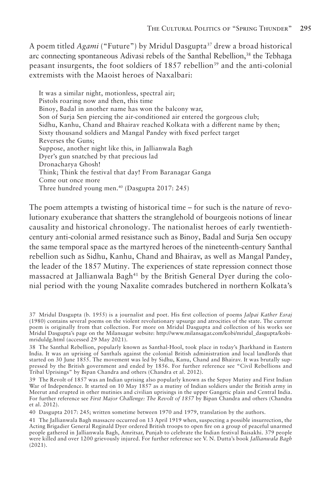A poem titled *Agami* ("Future") by Mridul Dasgupta37 drew a broad historical arc connecting spontaneous Adivasi rebels of the Santhal Rebellion,<sup>38</sup> the Tebhaga peasant insurgents, the foot soldiers of 1857 rebellion<sup>39</sup> and the anti-colonial extremists with the Maoist heroes of Naxalbari:

It was a similar night, motionless, spectral air; Pistols roaring now and then, this time Binoy, Badal in another name has won the balcony war, Son of Surja Sen piercing the air-conditioned air entered the gorgeous club; Sidhu, Kanhu, Chand and Bhairav reached Kolkata with a different name by then; Sixty thousand soldiers and Mangal Pandey with fixed perfect target Reverses the Guns; Suppose, another night like this, in Jallianwala Bagh Dyer's gun snatched by that precious lad Dronacharya Ghosh! Think; Think the festival that day! From Baranagar Ganga Come out once more Three hundred young men.40 (Dasgupta 2017: 245)

The poem attempts a twisting of historical time – for such is the nature of revolutionary exuberance that shatters the stranglehold of bourgeois notions of linear causality and historical chronology. The nationalist heroes of early twentiethcentury anti-colonial armed resistance such as Binoy, Badal and Surja Sen occupy the same temporal space as the martyred heroes of the nineteenth-century Santhal rebellion such as Sidhu, Kanhu, Chand and Bhairav, as well as Mangal Pandey, the leader of the 1857 Mutiny. The experiences of state repression connect those massacred at Jallianwala Bagh<sup>41</sup> by the British General Dyer during the colonial period with the young Naxalite comrades butchered in northern Kolkata's

39 The Revolt of 1857 was an Indian uprising also popularly known as the Sepoy Mutiny and First Indian War of Independence. It started on 10 May 1857 as a mutiny of Indian soldiers under the British army in Meerut and erupted in other mutinies and civilian uprisings in the upper Gangetic plain and Central India. For further reference see *First Major Challenge: The Revolt of 1857* by Bipan Chandra and others (Chandra et al. 2012).

40 Dasgupta 2017: 245; written sometime between 1970 and 1979, translation by the authors.

41 The Jallianwala Bagh massacre occurred on 13 April 1919 when, suspecting a possible insurrection, the Acting Brigadier General Reginald Dyer ordered British troops to open fire on a group of peaceful unarmed people gathered in Jallianwala Bagh, Amritsar, Punjab to celebrate the Indian festival Baisakhi. 379 people were killed and over 1200 grievously injured. For further reference see V. N. Dutta's book *Jallianwala Bagh*  (2021).

<sup>37</sup> Mridul Dasgupta (b. 1955) is a journalist and poet. His first collection of poems *Jalpai Kather Esraj*  (1980) contains several poems on the violent revolutionary upsurge and atrocities of the state. The current poem is originally from that collection. For more on Mridul Dasgupta and collection of his works see Mridul Dasgupta's page on the Milansagar website: http://www.milansagar.com/kobi/mridul\_dasgupta/kobimriduldg.html (accessed 29 May 2021).

<sup>38</sup> The Santhal Rebellion, popularly known as Santhal-Hool, took place in today's Jharkhand in Eastern India. It was an uprising of Santhals against the colonial British administration and local landlords that started on 30 June 1855. The movement was led by Sidhu, Kanu, Chand and Bhairav. It was brutally suppressed by the British government and ended by 1856. For further reference see "Civil Rebellions and Tribal Uprisings" by Bipan Chandra and others (Chandra et al. 2012).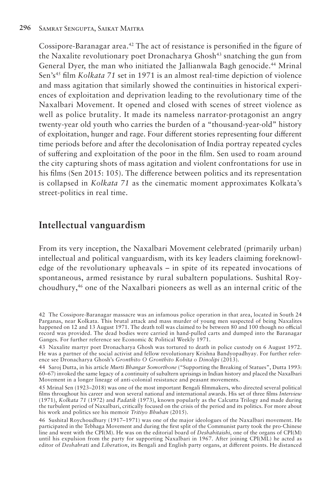Cossipore-Baranagar area.<sup>42</sup> The act of resistance is personified in the figure of the Naxalite revolutionary poet Dronacharya Ghosh<sup>43</sup> snatching the gun from General Dyer, the man who initiated the Jallianwala Bagh genocide.<sup>44</sup> Mrinal Sen's45 film *Kolkata 71* set in 1971 is an almost real-time depiction of violence and mass agitation that similarly showed the continuities in historical experiences of exploitation and deprivation leading to the revolutionary time of the Naxalbari Movement. It opened and closed with scenes of street violence as well as police brutality. It made its nameless narrator-protagonist an angry twenty-year old youth who carries the burden of a "thousand-year-old" history of exploitation, hunger and rage. Four different stories representing four different time periods before and after the decolonisation of India portray repeated cycles of suffering and exploitation of the poor in the film. Sen used to roam around the city capturing shots of mass agitation and violent confrontations for use in his films (Sen 2015: 105). The difference between politics and its representation is collapsed in *Kolkata 71* as the cinematic moment approximates Kolkata's street-politics in real time.

#### **Intellectual vanguardism**

From its very inception, the Naxalbari Movement celebrated (primarily urban) intellectual and political vanguardism, with its key leaders claiming foreknowledge of the revolutionary upheavals – in spite of its repeated invocations of spontaneous, armed resistance by rural subaltern populations. Sushital Roychoudhury,46 one of the Naxalbari pioneers as well as an internal critic of the

<sup>42</sup> The Cossipore-Baranagar massacre was an infamous police operation in that area, located in South 24 Parganas, near Kolkata. This brutal attack and mass murder of young men suspected of being Naxalites happened on 12 and 13 August 1971. The death toll was claimed to be between 80 and 100 though no official record was provided. The dead bodies were carried in hand-pulled carts and dumped into the Baranagar Ganges. For further reference see Economic & Political Weekly 1971.

<sup>43</sup> Naxalite martyr poet Dronacharya Ghosh was tortured to death in police custody on 6 August 1972. He was a partner of the social activist and fellow revolutionary Krishna Bandyopadhyay. For further reference see Dronacharya Ghosh's *Gronthito O Gronthito Kobita o Dinolipi* (2013).

<sup>44</sup> Saroj Dutta, in his article *Murti Bhangar Somorthone* ("Supporting the Breaking of Statues", Dutta 1993: 60–67) invoked the same legacy of a continuity of subaltern uprisings in Indian history and placed the Naxalbari Movement in a longer lineage of anti-colonial resistance and peasant movements.

<sup>45</sup> Mrinal Sen (1923–2018) was one of the most important Bengali filmmakers, who directed several political films throughout his career and won several national and international awards. His set of three films *Interview* (1971), *Kolkata 71* (1972) and *Padatik* (1973), known popularly as the Calcutta Trilogy and made during the turbulent period of Naxalbari, critically focused on the crisis of the period and its politics. For more about his work and politics see his memoir *Tritiyo Bhuban* (2015).

<sup>46</sup> Sushital Roychoudhury (1917–1971) was one of the major ideologues of the Naxalbari movement. He participated in the Tebhaga Movement and during the first split of the Communist party took the pro-Chinese line and went with the CPI(M). He was on the editorial board of *Deshahitaishi*, one of the organs of CPI(M) until his expulsion from the party for supporting Naxalbari in 1967. After joining CPI(ML) he acted as editor of *Deshabrati* and *Liberation*, its Bengali and English party organs, at different points. He distanced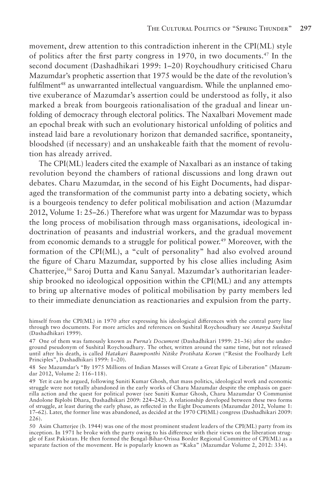movement, drew attention to this contradiction inherent in the CPI(ML) style of politics after the first party congress in 1970, in two documents.47 In the second document (Dashadhikari 1999: 1–20) Roychoudhury criticised Charu Mazumdar's prophetic assertion that 1975 would be the date of the revolution's fulfilment<sup>48</sup> as unwarranted intellectual vanguardism. While the unplanned emotive exuberance of Mazumdar's assertion could be understood as folly, it also marked a break from bourgeois rationalisation of the gradual and linear unfolding of democracy through electoral politics. The Naxalbari Movement made an epochal break with such an evolutionary historical unfolding of politics and instead laid bare a revolutionary horizon that demanded sacrifice, spontaneity, bloodshed (if necessary) and an unshakeable faith that the moment of revolution has already arrived.

The CPI(ML) leaders cited the example of Naxalbari as an instance of taking revolution beyond the chambers of rational discussions and long drawn out debates. Charu Mazumdar, in the second of his Eight Documents, had disparaged the transformation of the communist party into a debating society, which is a bourgeois tendency to defer political mobilisation and action (Mazumdar 2012, Volume 1: 25–26.) Therefore what was urgent for Mazumdar was to bypass the long process of mobilisation through mass organisations, ideological indoctrination of peasants and industrial workers, and the gradual movement from economic demands to a struggle for political power.49 Moreover, with the formation of the CPI(ML), a "cult of personality" had also evolved around the figure of Charu Mazumdar, supported by his close allies including Asim Chatterjee,50 Saroj Dutta and Kanu Sanyal. Mazumdar's authoritarian leadership brooked no ideological opposition within the CPI(ML) and any attempts to bring up alternative modes of political mobilisation by party members led to their immediate denunciation as reactionaries and expulsion from the party.

himself from the CPI(ML) in 1970 after expressing his ideological differences with the central party line through two documents. For more articles and references on Sushital Roychoudhury see *Ananya Sushital* (Dashadhikari 1999).

<sup>47</sup> One of them was famously known as *Purna's Document* (Dashadhikari 1999: 21–36) after the underground pseudonym of Sushital Roychoudhury. The other, written around the same time, but not released until after his death, is called *Hatakari Baamponthi Nitike Protihata Korun* ("Resist the Foolhardy Left Principles", Dashadhikari 1999: 1–20).

<sup>48</sup> See Mazumdar's "By 1975 Millions of Indian Masses will Create a Great Epic of Liberation" (Mazumdar 2012, Volume 2: 116–118).

<sup>49</sup> Yet it can be argued, following Suniti Kumar Ghosh, that mass politics, ideological work and economic struggle were not totally abandoned in the early works of Charu Mazumdar despite the emphasis on guerrilla action and the quest for political power (see Suniti Kumar Ghosh, Charu Mazumdar O Communist Andolone Biplobi Dhara, Dashadhikari 2009: 224–242). A relationship developed between these two forms of struggle, at least during the early phase, as reflected in the Eight Documents (Mazumdar 2012, Volume 1: 17–62). Later, the former line was abandoned, as decided at the 1970 CPI(ML) congress (Dashadhikari 2009: 226).

<sup>50</sup> Asim Chatterjee (b. 1944) was one of the most prominent student leaders of the CPI(ML) party from its inception. In 1971 he broke with the party owing to his difference with their views on the liberation struggle of East Pakistan. He then formed the Bengal-Bihar-Orissa Border Regional Committee of CPI(ML) as a separate faction of the movement. He is popularly known as "Kaka" (Mazumdar Volume 2, 2012: 334).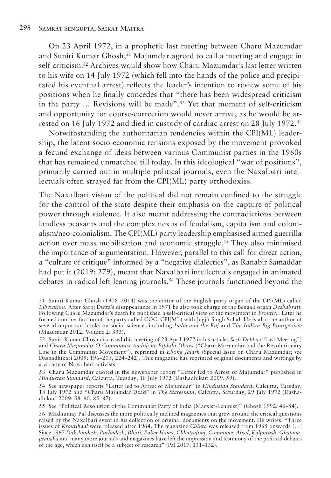On 23 April 1972, in a prophetic last meeting between Charu Mazumdar and Suniti Kumar Ghosh,<sup>51</sup> Majumdar agreed to call a meeting and engage in self-criticism.52 Archives would show how Charu Mazumdar's last letter written to his wife on 14 July 1972 (which fell into the hands of the police and precipitated his eventual arrest) reflects the leader's intention to review some of his positions when he finally concedes that "there has been widespread criticism in the party ... Revisions will be made".<sup>53</sup> Yet that moment of self-criticism and opportunity for course-correction would never arrive, as he would be arrested on 16 July 1972 and died in custody of cardiac arrest on 28 July 1972.54

Notwithstanding the authoritarian tendencies within the CPI(ML) leadership, the latent socio-economic tensions exposed by the movement provoked a fecund exchange of ideas between various Communist parties in the 1960s that has remained unmatched till today. In this ideological "war of positions", primarily carried out in multiple political journals, even the Naxalbari intellectuals often strayed far from the CPI(ML) party orthodoxies.

The Naxalbari vision of the political did not remain confined to the struggle for the control of the state despite their emphasis on the capture of political power through violence. It also meant addressing the contradictions between landless peasants and the complex nexus of feudalism, capitalism and colonialism/neo-colonialism. The CPI(ML) party leadership emphasised armed guerrilla action over mass mobilisation and economic struggle.<sup>55</sup> They also minimised the importance of argumentation. However, parallel to this call for direct action, a "culture of critique" informed by a "negative dialectics", as Ranabir Samaddar had put it (2019: 279), meant that Naxalbari intellectuals engaged in animated debates in radical left-leaning journals.56 These journals functioned beyond the

<sup>51</sup> Suniti Kumar Ghosh (1918–2014) was the editor of the English party organ of the CPI(ML) called *Liberation*. After Saroj Dutta's disappearance in 1971 he also took charge of the Bengali organ *Deshabrati*. Following Charu Mazumdar's death he published a self-critical view of the movement in *Frontier*. Later he formed another faction of the party called COC, CPI(ML) with Jagjit Singh Sohal. He is also the author of several important books on social sciences including *India and the Raj* and *The Indian Big Bourgeoisie*  (Mazumdar 2012, Volume 2: 333).

<sup>52</sup> Suniti Kumar Ghosh discussed this meeting of 23 April 1972 in his articles *Sesh Dekha* ("Last Meeting") and *Charu Mazumdar O Communist Andolone Biplobi Dhara* ("Charu Mazumdar and the Revolutionary Line in the Communist Movement"), reprinted in *Ebong Jalark* (Special Issue on Charu Mazumdar; see Dashadhikari 2009: 196–205, 224–242). This magazine has reprinted original documents and writings by a variety of Naxalbari activists.

<sup>53</sup> Charu Mazumdar quoted in the newspaper report "Letter led to Arrest of Majumdar" published in *Hindustan Standard,* Calcutta, Tuesday, 18 July 1972 (Dashadhikari 2009: 59).

<sup>54</sup> See newspaper reports "Letter led to Arrest of Majumdar" in *Hindustan Standard*, Calcutta, Tuesday, 18 July 1972 and "Charu Majumdar Dead" in *The Statesman*, Calcutta, Saturday, 29 July 1972 (Dashadhikari 2009: 58–60, 85–87).

<sup>55</sup> See "Political Resolution of the Communist Party of India (Marxist-Leninist)" (Ghosh 1992: 46–54).

<sup>56</sup> Madhumay Pal discusses the more politically inclined magazines that grew around the critical questions raised by the Naxalbari event in his collection of original documents on the movement. He writes: "Three issues of *Krantikaal* were released after 1964. The magazine *Chinta* was released from 1965 onwards […] Since 1967 *Dakshindesh, Purbadesh, Bhitti, Puber Hawa, Chhatrafouj, Commune, Abad, Kalpurush, Ghatanaprabaha* and many more journals and magazines have left the impression and testimony of the political debates of the age, which can itself be a subject of research" (Pal 2017: 131–132).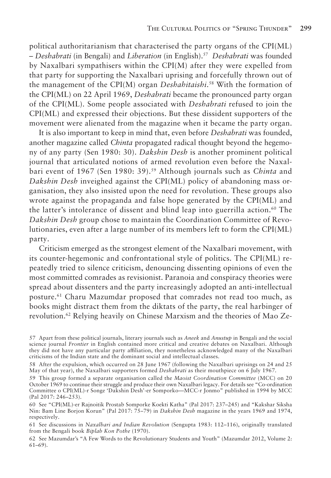political authoritarianism that characterised the party organs of the CPI(ML) – *Deshabrati* (in Bengali) and *Liberation* (in English).57 *Deshabrati* was founded by Naxalbari sympathisers within the CPI(M) after they were expelled from that party for supporting the Naxalbari uprising and forcefully thrown out of the management of the CPI(M) organ *Deshahitaishi*. 58 With the formation of the CPI(ML) on 22 April 1969, *Deshabrati* became the pronounced party organ of the CPI(ML). Some people associated with *Deshabrati* refused to join the CPI(ML) and expressed their objections. But these dissident supporters of the movement were alienated from the magazine when it became the party organ.

It is also important to keep in mind that, even before *Deshabrati* was founded, another magazine called *Chinta* propagated radical thought beyond the hegemony of any party (Sen 1980: 30). *Dakshin Desh* is another prominent political journal that articulated notions of armed revolution even before the Naxalbari event of 1967 (Sen 1980: 39).59 Although journals such as *Chinta* and *Dakshin Desh* inveighed against the CPI(ML) policy of abandoning mass organisation, they also insisted upon the need for revolution. These groups also wrote against the propaganda and false hope generated by the CPI(ML) and the latter's intolerance of dissent and blind leap into guerrilla action.<sup>60</sup> The *Dakshin Desh* group chose to maintain the Coordination Committee of Revolutionaries, even after a large number of its members left to form the CPI(ML) party.

Criticism emerged as the strongest element of the Naxalbari movement, with its counter-hegemonic and confrontational style of politics. The CPI(ML) repeatedly tried to silence criticism, denouncing dissenting opinions of even the most committed comrades as revisionist. Paranoia and conspiracy theories were spread about dissenters and the party increasingly adopted an anti-intellectual posture.61 Charu Mazumdar proposed that comrades not read too much, as books might distract them from the diktats of the party, the real harbinger of revolution.<sup>62</sup> Relying heavily on Chinese Marxism and the theories of Mao Ze-

<sup>57</sup> Apart from these political journals, literary journals such as *Aneek* and *Anustup* in Bengali and the social science journal *Frontier* in English contained more critical and creative debates on Naxalbari. Although they did not have any particular party affiliation, they nonetheless acknowledged many of the Naxalbari criticisms of the Indian state and the dominant social and intellectual classes.

<sup>58</sup> After the expulsion, which occurred on 28 June 1967 (following the Naxalbari uprisings on 24 and 25 May of that year), the Naxalbari supporters formed *Deshabrati* as their mouthpiece on 6 July 1967.

<sup>59</sup> This group formed a separate organisation called the *Maoist Coordination Committee* (MCC) on 20 October 1969 to continue their struggle and produce their own Naxalbari legacy. For details see "Co-ordination Committee o CPI(ML)-r Songe 'Dakshin Desh'-er Somporko—MCC-r Jonmo" published in 1994 by MCC (Pal 2017: 246–253).

<sup>60</sup> See "CPI(ML)-er Rajnoitik Prostab Somporke Koekti Katha" (Pal 2017: 237–245) and "Kakshar Siksha Nin: Bam Line Borjon Korun" (Pal 2017: 75–79) in *Dakshin Desh* magazine in the years 1969 and 1974, respectively.

<sup>61</sup> See discussions in *Naxalbari and Indian Revolution* (Sengupta 1983: 112–116), originally translated from the Bengali book *Biplab Kon Pothe* (1970).

<sup>62</sup> See Mazumdar's "A Few Words to the Revolutionary Students and Youth" (Mazumdar 2012, Volume 2: 61–69).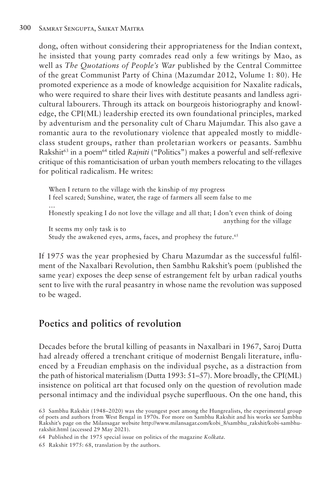dong, often without considering their appropriateness for the Indian context, he insisted that young party comrades read only a few writings by Mao, as well as *The Quotations of People's War* published by the Central Committee of the great Communist Party of China (Mazumdar 2012, Volume 1: 80). He promoted experience as a mode of knowledge acquisition for Naxalite radicals, who were required to share their lives with destitute peasants and landless agricultural labourers. Through its attack on bourgeois historiography and knowledge, the CPI(ML) leadership erected its own foundational principles, marked by adventurism and the personality cult of Charu Majumdar. This also gave a romantic aura to the revolutionary violence that appealed mostly to middleclass student groups, rather than proletarian workers or peasants. Sambhu Rakshit63 in a poem64 titled *Rajniti* ("Politics") makes a powerful and self-reflexive critique of this romanticisation of urban youth members relocating to the villages for political radicalism. He writes:

When I return to the village with the kinship of my progress I feel scared; Sunshine, water, the rage of farmers all seem false to me … Honestly speaking I do not love the village and all that; I don't even think of doing anything for the village It seems my only task is to Study the awakened eyes, arms, faces, and prophesy the future.<sup>65</sup>

If 1975 was the year prophesied by Charu Mazumdar as the successful fulfilment of the Naxalbari Revolution, then Sambhu Rakshit's poem (published the same year) exposes the deep sense of estrangement felt by urban radical youths sent to live with the rural peasantry in whose name the revolution was supposed to be waged.

## **Poetics and politics of revolution**

Decades before the brutal killing of peasants in Naxalbari in 1967, Saroj Dutta had already offered a trenchant critique of modernist Bengali literature, influenced by a Freudian emphasis on the individual psyche, as a distraction from the path of historical materialism (Dutta 1993: 51–57). More broadly, the CPI(ML) insistence on political art that focused only on the question of revolution made personal intimacy and the individual psyche superfluous. On the one hand, this

65 Rakshit 1975: 68, translation by the authors.

<sup>63</sup> Sambhu Rakshit (1948–2020) was the youngest poet among the Hungrealists, the experimental group of poets and authors from West Bengal in 1970s. For more on Sambhu Rakshit and his works see Sambhu Rakshit's page on the Milansagar website http://www.milansagar.com/kobi\_8/sambhu\_rakshit/kobi-sambhurakshit.html (accessed 29 May 2021).

<sup>64</sup> Published in the 1975 special issue on politics of the magazine *Kolkata*.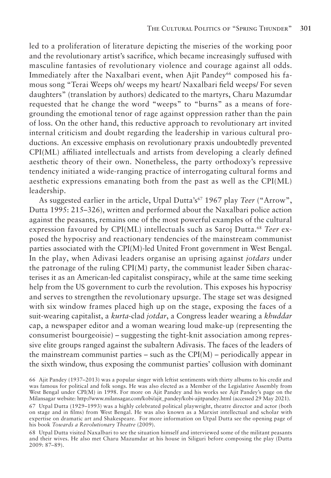led to a proliferation of literature depicting the miseries of the working poor and the revolutionary artist's sacrifice, which became increasingly suffused with masculine fantasies of revolutionary violence and courage against all odds. Immediately after the Naxalbari event, when Ajit Pandey<sup>66</sup> composed his famous song "Terai Weeps oh/ weeps my heart/ Naxalbari field weeps/ For seven daughters" (translation by authors) dedicated to the martyrs, Charu Mazumdar requested that he change the word "weeps" to "burns" as a means of foregrounding the emotional tenor of rage against oppression rather than the pain of loss. On the other hand, this reductive approach to revolutionary art invited internal criticism and doubt regarding the leadership in various cultural productions. An excessive emphasis on revolutionary praxis undoubtedly prevented CPI(ML) affiliated intellectuals and artists from developing a clearly defined aesthetic theory of their own. Nonetheless, the party orthodoxy's repressive tendency initiated a wide-ranging practice of interrogating cultural forms and aesthetic expressions emanating both from the past as well as the CPI(ML) leadership.

As suggested earlier in the article, Utpal Dutta's<sup>67</sup> 1967 play *Teer* ("Arrow", Dutta 1995: 215–326), written and performed about the Naxalbari police action against the peasants, remains one of the most powerful examples of the cultural expression favoured by CPI(ML) intellectuals such as Saroj Dutta.<sup>68</sup> Teer exposed the hypocrisy and reactionary tendencies of the mainstream communist parties associated with the CPI(M)-led United Front government in West Bengal. In the play, when Adivasi leaders organise an uprising against *jotdars* under the patronage of the ruling  $CPI(M)$  party, the communist leader Siben characterises it as an American-led capitalist conspiracy, while at the same time seeking help from the US government to curb the revolution. This exposes his hypocrisy and serves to strengthen the revolutionary upsurge. The stage set was designed with six window frames placed high up on the stage, exposing the faces of a suit-wearing capitalist, a *kurta*-clad *jotdar*, a Congress leader wearing a *khuddar* cap, a newspaper editor and a woman wearing loud make-up (representing the consumerist bourgeoisie) – suggesting the tight-knit association among repressive elite groups ranged against the subaltern Adivasis. The faces of the leaders of the mainstream communist parties – such as the  $CPI(M)$  – periodically appear in the sixth window, thus exposing the communist parties' collusion with dominant

68 Utpal Dutta visited Naxalbari to see the situation himself and interviewed some of the militant peasants and their wives. He also met Charu Mazumdar at his house in Siliguri before composing the play (Dutta 2009: 87–89).

<sup>66</sup> Ajit Pandey (1937–2013) was a popular singer with leftist sentiments with thirty albums to his credit and was famous for political and folk songs. He was also elected as a Member of the Legislative Assembly from West Bengal under CPI(M) in 1998. For more on Ajit Pandey and his works see Ajit Pandey's page on the Milansagar website: http://www.milansagar.com/kobi/ajit\_pandey/kobi-ajitpandey.html (accessed 29 May 2021).

<sup>67</sup> Utpal Dutta (1929–1993) was a highly celebrated political playwright, theatre director and actor (both on stage and in films) from West Bengal. He was also known as a Marxist intellectual and scholar with expertise on dramatic art and Shakespeare. For more information on Utpal Dutta see the opening page of his book *Towards a Revolutionary Theatre* (2009).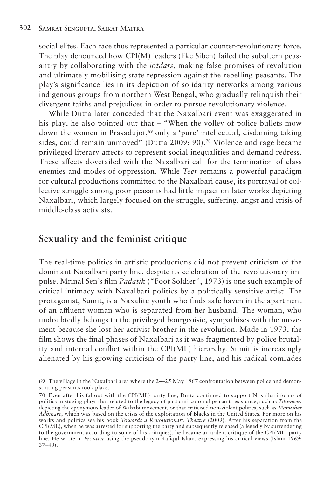social elites. Each face thus represented a particular counter-revolutionary force. The play denounced how CPI(M) leaders (like Siben) failed the subaltern peasantry by collaborating with the *jotdars*, making false promises of revolution and ultimately mobilising state repression against the rebelling peasants. The play's significance lies in its depiction of solidarity networks among various indigenous groups from northern West Bengal, who gradually relinquish their divergent faiths and prejudices in order to pursue revolutionary violence.

While Dutta later conceded that the Naxalbari event was exaggerated in his play, he also pointed out that – "When the volley of police bullets mow down the women in Prasadujot,69 only a 'pure' intellectual, disdaining taking sides, could remain unmoved" (Dutta 2009: 90).70 Violence and rage became privileged literary affects to represent social inequalities and demand redress. These affects dovetailed with the Naxalbari call for the termination of class enemies and modes of oppression. While *Teer* remains a powerful paradigm for cultural productions committed to the Naxalbari cause, its portrayal of collective struggle among poor peasants had little impact on later works depicting Naxalbari, which largely focused on the struggle, suffering, angst and crisis of middle-class activists.

#### **Sexuality and the feminist critique**

The real-time politics in artistic productions did not prevent criticism of the dominant Naxalbari party line, despite its celebration of the revolutionary impulse. Mrinal Sen's film *Padatik* ("Foot Soldier", 1973) is one such example of critical intimacy with Naxalbari politics by a politically sensitive artist. The protagonist, Sumit, is a Naxalite youth who finds safe haven in the apartment of an affluent woman who is separated from her husband. The woman, who undoubtedly belongs to the privileged bourgeoisie, sympathises with the movement because she lost her activist brother in the revolution. Made in 1973, the film shows the final phases of Naxalbari as it was fragmented by police brutality and internal conflict within the CPI(ML) hierarchy. Sumit is increasingly alienated by his growing criticism of the party line, and his radical comrades

<sup>69</sup> The village in the Naxalbari area where the 24–25 May 1967 confrontation between police and demonstrating peasants took place.

<sup>70</sup> Even after his fallout with the CPI(ML) party line, Dutta continued to support Naxalbari forms of politics in staging plays that related to the legacy of past anti-colonial peasant resistance, such as *Titumeer*, depicting the eponymous leader of Wahabi movement, or that criticised non-violent politics, such as *Manusher Adhikare*, which was based on the crisis of the exploitation of Blacks in the United States. For more on his works and politics see his book *Towards a Revolutionary Theatre* (2009). After his separation from the CPI(ML), when he was arrested for supporting the party and subsequently released (allegedly by surrendering to the government according to some of his critiques), he became an ardent critique of the CPI(ML) party line. He wrote in *Frontier* using the pseudonym Rafiqul Islam, expressing his critical views (Islam 1969: 37–40).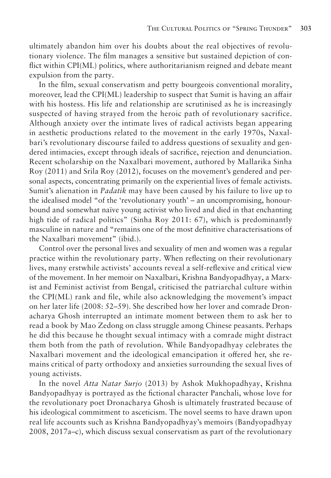ultimately abandon him over his doubts about the real objectives of revolutionary violence. The film manages a sensitive but sustained depiction of conflict within CPI(ML) politics, where authoritarianism reigned and debate meant expulsion from the party.

In the film, sexual conservatism and petty bourgeois conventional morality, moreover, lead the CPI(ML) leadership to suspect that Sumit is having an affair with his hostess. His life and relationship are scrutinised as he is increasingly suspected of having strayed from the heroic path of revolutionary sacrifice. Although anxiety over the intimate lives of radical activists began appearing in aesthetic productions related to the movement in the early 1970s, Naxalbari's revolutionary discourse failed to address questions of sexuality and gendered intimacies, except through ideals of sacrifice, rejection and denunciation. Recent scholarship on the Naxalbari movement, authored by Mallarika Sinha Roy (2011) and Srila Roy (2012), focuses on the movement's gendered and personal aspects, concentrating primarily on the experiential lives of female activists. Sumit's alienation in *Padatik* may have been caused by his failure to live up to the idealised model "of the 'revolutionary youth' – an uncompromising, honourbound and somewhat naïve young activist who lived and died in that enchanting high tide of radical politics" (Sinha Roy 2011: 67), which is predominantly masculine in nature and "remains one of the most definitive characterisations of the Naxalbari movement" (ibid.).

Control over the personal lives and sexuality of men and women was a regular practice within the revolutionary party. When reflecting on their revolutionary lives, many erstwhile activists' accounts reveal a self-reflexive and critical view of the movement. In her memoir on Naxalbari, Krishna Bandyopadhyay, a Marxist and Feminist activist from Bengal, criticised the patriarchal culture within the CPI(ML) rank and file, while also acknowledging the movement's impact on her later life (2008: 52–59). She described how her lover and comrade Dronacharya Ghosh interrupted an intimate moment between them to ask her to read a book by Mao Zedong on class struggle among Chinese peasants. Perhaps he did this because he thought sexual intimacy with a comrade might distract them both from the path of revolution. While Bandyopadhyay celebrates the Naxalbari movement and the ideological emancipation it offered her, she remains critical of party orthodoxy and anxieties surrounding the sexual lives of young activists.

In the novel *Atta Natar Surjo* (2013) by Ashok Mukhopadhyay, Krishna Bandyopadhyay is portrayed as the fictional character Panchali, whose love for the revolutionary poet Dronacharya Ghosh is ultimately frustrated because of his ideological commitment to asceticism. The novel seems to have drawn upon real life accounts such as Krishna Bandyopadhyay's memoirs (Bandyopadhyay 2008, 2017a–c), which discuss sexual conservatism as part of the revolutionary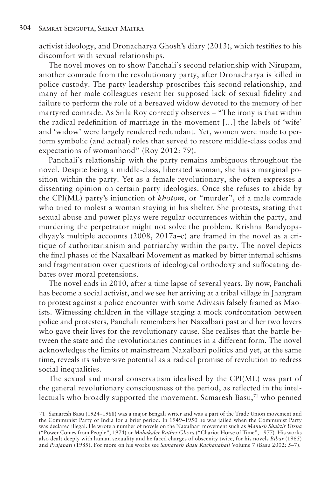activist ideology, and Dronacharya Ghosh's diary (2013), which testifies to his discomfort with sexual relationships.

The novel moves on to show Panchali's second relationship with Nirupam, another comrade from the revolutionary party, after Dronacharya is killed in police custody. The party leadership proscribes this second relationship, and many of her male colleagues resent her supposed lack of sexual fidelity and failure to perform the role of a bereaved widow devoted to the memory of her martyred comrade. As Srila Roy correctly observes – "The irony is that within the radical redefinition of marriage in the movement […] the labels of 'wife' and 'widow' were largely rendered redundant. Yet, women were made to perform symbolic (and actual) roles that served to restore middle-class codes and expectations of womanhood" (Roy 2012: 79).

Panchali's relationship with the party remains ambiguous throughout the novel. Despite being a middle-class, liberated woman, she has a marginal position within the party. Yet as a female revolutionary, she often expresses a dissenting opinion on certain party ideologies. Once she refuses to abide by the CPI(ML) party's injunction of *khotom*, or "murder", of a male comrade who tried to molest a woman staying in his shelter. She protests, stating that sexual abuse and power plays were regular occurrences within the party, and murdering the perpetrator might not solve the problem. Krishna Bandyopadhyay's multiple accounts  $(2008, 2017a-c)$  are framed in the novel as a critique of authoritarianism and patriarchy within the party. The novel depicts the final phases of the Naxalbari Movement as marked by bitter internal schisms and fragmentation over questions of ideological orthodoxy and suffocating debates over moral pretensions.

The novel ends in 2010, after a time lapse of several years. By now, Panchali has become a social activist, and we see her arriving at a tribal village in Jhargram to protest against a police encounter with some Adivasis falsely framed as Maoists. Witnessing children in the village staging a mock confrontation between police and protesters, Panchali remembers her Naxalbari past and her two lovers who gave their lives for the revolutionary cause. She realises that the battle between the state and the revolutionaries continues in a different form. The novel acknowledges the limits of mainstream Naxalbari politics and yet, at the same time, reveals its subversive potential as a radical promise of revolution to redress social inequalities.

The sexual and moral conservatism idealised by the CPI(ML) was part of the general revolutionary consciousness of the period, as reflected in the intellectuals who broadly supported the movement. Samaresh Basu,<sup>71</sup> who penned

<sup>71</sup> Samaresh Basu (1924–1988) was a major Bengali writer and was a part of the Trade Union movement and the Communist Party of India for a brief period. In 1949–1950 he was jailed when the Communist Party was declared illegal. He wrote a number of novels on the Naxalbari movement such as *Manush Shaktir Utsha* ("Power Comes from People", 1974) or *Mahakaler Rather Ghora* ("Chariot Horse of Time", 1977). His works also dealt deeply with human sexuality and he faced charges of obscenity twice, for his novels *Bibar* (1965) and *Prajapati* (1985). For more on his works see *Samaresh Basu Rachanabali* Volume 7 (Basu 2002: 5–7).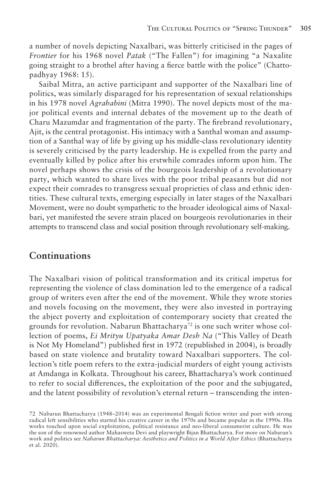a number of novels depicting Naxalbari, was bitterly criticised in the pages of *Frontier* for his 1968 novel *Patak* ("The Fallen") for imagining "a Naxalite going straight to a brothel after having a fierce battle with the police" (Chattopadhyay 1968: 15).

Saibal Mitra, an active participant and supporter of the Naxalbari line of politics, was similarly disparaged for his representation of sexual relationships in his 1978 novel *Agrahabini* (Mitra 1990). The novel depicts most of the major political events and internal debates of the movement up to the death of Charu Mazumdar and fragmentation of the party. The firebrand revolutionary, Ajit, is the central protagonist. His intimacy with a Santhal woman and assumption of a Santhal way of life by giving up his middle-class revolutionary identity is severely criticised by the party leadership. He is expelled from the party and eventually killed by police after his erstwhile comrades inform upon him. The novel perhaps shows the crisis of the bourgeois leadership of a revolutionary party, which wanted to share lives with the poor tribal peasants but did not expect their comrades to transgress sexual proprieties of class and ethnic identities. These cultural texts, emerging especially in later stages of the Naxalbari Movement, were no doubt sympathetic to the broader ideological aims of Naxalbari, yet manifested the severe strain placed on bourgeois revolutionaries in their attempts to transcend class and social position through revolutionary self-making.

#### **Continuations**

The Naxalbari vision of political transformation and its critical impetus for representing the violence of class domination led to the emergence of a radical group of writers even after the end of the movement. While they wrote stories and novels focusing on the movement, they were also invested in portraying the abject poverty and exploitation of contemporary society that created the grounds for revolution. Nabarun Bhattacharya<sup>72</sup> is one such writer whose collection of poems, *Ei Mrityu Upatyaka Amar Desh Na* ("This Valley of Death is Not My Homeland") published first in 1972 (republished in 2004), is broadly based on state violence and brutality toward Naxalbari supporters. The collection's title poem refers to the extra-judicial murders of eight young activists at Amdanga in Kolkata. Throughout his career, Bhattacharya's work continued to refer to social differences, the exploitation of the poor and the subjugated, and the latent possibility of revolution's eternal return – transcending the inten-

<sup>72</sup> Nabarun Bhattacharya (1948–2014) was an experimental Bengali fiction writer and poet with strong radical left sensibilities who started his creative career in the 1970s and became popular in the 1990s. His works touched upon social exploitation, political resistance and neo-liberal consumerist culture. He was the son of the renowned author Mahasweta Devi and playwright Bijan Bhattacharya. For more on Nabarun's work and politics see *Nabarun Bhattacharya: Aesthetics and Politics in a World After Ethics* (Bhattacharya et al. 2020).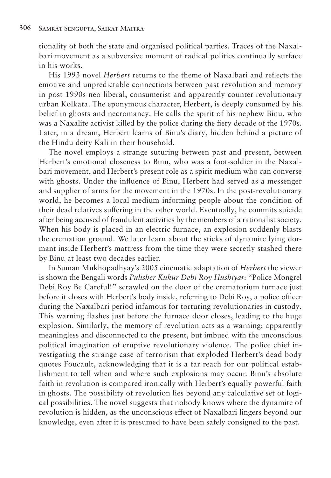tionality of both the state and organised political parties. Traces of the Naxalbari movement as a subversive moment of radical politics continually surface in his works.

His 1993 novel *Herbert* returns to the theme of Naxalbari and reflects the emotive and unpredictable connections between past revolution and memory in post-1990s neo-liberal, consumerist and apparently counter-revolutionary urban Kolkata. The eponymous character, Herbert, is deeply consumed by his belief in ghosts and necromancy. He calls the spirit of his nephew Binu, who was a Naxalite activist killed by the police during the fiery decade of the 1970s. Later, in a dream, Herbert learns of Binu's diary, hidden behind a picture of the Hindu deity Kali in their household.

The novel employs a strange suturing between past and present, between Herbert's emotional closeness to Binu, who was a foot-soldier in the Naxalbari movement, and Herbert's present role as a spirit medium who can converse with ghosts. Under the influence of Binu, Herbert had served as a messenger and supplier of arms for the movement in the 1970s. In the post-revolutionary world, he becomes a local medium informing people about the condition of their dead relatives suffering in the other world. Eventually, he commits suicide after being accused of fraudulent activities by the members of a rationalist society. When his body is placed in an electric furnace, an explosion suddenly blasts the cremation ground. We later learn about the sticks of dynamite lying dormant inside Herbert's mattress from the time they were secretly stashed there by Binu at least two decades earlier.

In Suman Mukhopadhyay's 2005 cinematic adaptation of *Herbert* the viewer is shown the Bengali words *Pulisher Kukur Debi Roy Hushiyar*: "Police Mongrel Debi Roy Be Careful!" scrawled on the door of the crematorium furnace just before it closes with Herbert's body inside, referring to Debi Roy, a police officer during the Naxalbari period infamous for torturing revolutionaries in custody. This warning flashes just before the furnace door closes, leading to the huge explosion. Similarly, the memory of revolution acts as a warning: apparently meaningless and disconnected to the present, but imbued with the unconscious political imagination of eruptive revolutionary violence. The police chief investigating the strange case of terrorism that exploded Herbert's dead body quotes Foucault, acknowledging that it is a far reach for our political establishment to tell when and where such explosions may occur. Binu's absolute faith in revolution is compared ironically with Herbert's equally powerful faith in ghosts. The possibility of revolution lies beyond any calculative set of logical possibilities. The novel suggests that nobody knows where the dynamite of revolution is hidden, as the unconscious effect of Naxalbari lingers beyond our knowledge, even after it is presumed to have been safely consigned to the past.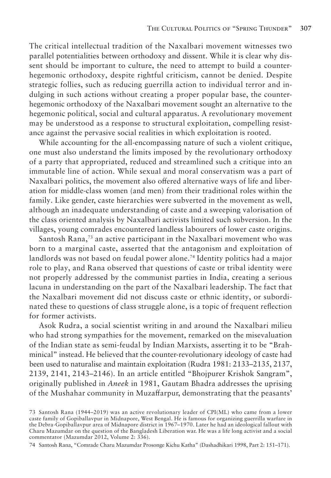The critical intellectual tradition of the Naxalbari movement witnesses two parallel potentialities between orthodoxy and dissent. While it is clear why dissent should be important to culture, the need to attempt to build a counterhegemonic orthodoxy, despite rightful criticism, cannot be denied. Despite strategic follies, such as reducing guerrilla action to individual terror and indulging in such actions without creating a proper popular base, the counterhegemonic orthodoxy of the Naxalbari movement sought an alternative to the hegemonic political, social and cultural apparatus. A revolutionary movement may be understood as a response to structural exploitation, compelling resistance against the pervasive social realities in which exploitation is rooted.

While accounting for the all-encompassing nature of such a violent critique, one must also understand the limits imposed by the revolutionary orthodoxy of a party that appropriated, reduced and streamlined such a critique into an immutable line of action. While sexual and moral conservatism was a part of Naxalbari politics, the movement also offered alternative ways of life and liberation for middle-class women (and men) from their traditional roles within the family. Like gender, caste hierarchies were subverted in the movement as well, although an inadequate understanding of caste and a sweeping valorisation of the class oriented analysis by Naxalbari activists limited such subversion. In the villages, young comrades encountered landless labourers of lower caste origins.

Santosh Rana,73 an active participant in the Naxalbari movement who was born to a marginal caste, asserted that the antagonism and exploitation of landlords was not based on feudal power alone.<sup>74</sup> Identity politics had a major role to play, and Rana observed that questions of caste or tribal identity were not properly addressed by the communist parties in India, creating a serious lacuna in understanding on the part of the Naxalbari leadership. The fact that the Naxalbari movement did not discuss caste or ethnic identity, or subordinated these to questions of class struggle alone, is a topic of frequent reflection for former activists.

Asok Rudra, a social scientist writing in and around the Naxalbari milieu who had strong sympathies for the movement, remarked on the misevaluation of the Indian state as semi-feudal by Indian Marxists, asserting it to be "Brahminical" instead. He believed that the counter-revolutionary ideology of caste had been used to naturalise and maintain exploitation (Rudra 1981: 2133–2135, 2137, 2139, 2141, 2143–2146). In an article entitled "Bhojpurer Krishok Sangram", originally published in *Aneek* in 1981, Gautam Bhadra addresses the uprising of the Mushahar community in Muzaffarpur, demonstrating that the peasants'

74 Santosh Rana, "Comrade Charu Mazumdar Prosonge Kichu Katha" (Dashadhikari 1998, Part 2: 151–171).

<sup>73</sup> Santosh Rana (1944–2019) was an active revolutionary leader of CPI(ML) who came from a lower caste family of Gopiballavpur in Midnapore, West Bengal. He is famous for organizing guerrilla warfare in the Debra-Gopiballavpur area of Midnapore district in 1967–1970. Later he had an ideological fallout with Charu Mazumdar on the question of the Bangladesh Liberation war. He was a life long activist and a social commentator (Mazumdar 2012, Volume 2: 336).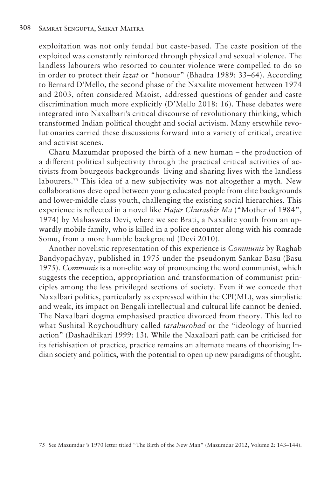exploitation was not only feudal but caste-based. The caste position of the exploited was constantly reinforced through physical and sexual violence. The landless labourers who resorted to counter-violence were compelled to do so in order to protect their *izzat* or "honour" (Bhadra 1989: 33–64). According to Bernard D'Mello, the second phase of the Naxalite movement between 1974 and 2003, often considered Maoist, addressed questions of gender and caste discrimination much more explicitly (D'Mello 2018: 16). These debates were integrated into Naxalbari's critical discourse of revolutionary thinking, which transformed Indian political thought and social activism. Many erstwhile revolutionaries carried these discussions forward into a variety of critical, creative and activist scenes.

Charu Mazumdar proposed the birth of a new human – the production of a different political subjectivity through the practical critical activities of activists from bourgeois backgrounds living and sharing lives with the landless labourers.<sup>75</sup> This idea of a new subjectivity was not altogether a myth. New collaborations developed between young educated people from elite backgrounds and lower-middle class youth, challenging the existing social hierarchies. This experience is reflected in a novel like *Hajar Churashir Ma* ("Mother of 1984", 1974) by Mahasweta Devi, where we see Brati, a Naxalite youth from an upwardly mobile family, who is killed in a police encounter along with his comrade Somu, from a more humble background (Devi 2010).

Another novelistic representation of this experience is *Communis* by Raghab Bandyopadhyay, published in 1975 under the pseudonym Sankar Basu (Basu 1975). *Communis* is a non-elite way of pronouncing the word communist, which suggests the reception, appropriation and transformation of communist principles among the less privileged sections of society. Even if we concede that Naxalbari politics, particularly as expressed within the CPI(ML), was simplistic and weak, its impact on Bengali intellectual and cultural life cannot be denied. The Naxalbari dogma emphasised practice divorced from theory. This led to what Sushital Roychoudhury called *tarahurobad* or the "ideology of hurried action" (Dashadhikari 1999: 13). While the Naxalbari path can be criticised for its fetishisation of practice, practice remains an alternate means of theorising Indian society and politics, with the potential to open up new paradigms of thought.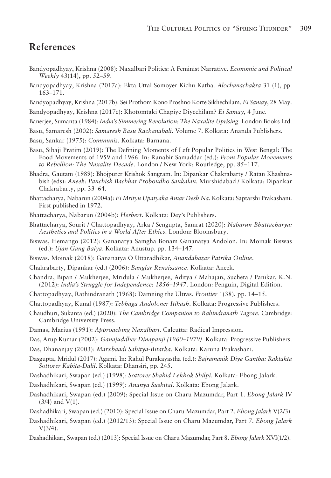### **References**

- Bandyopadhyay, Krishna (2008): Naxalbari Politics: A Feminist Narrative. *Economic and Political Weekly* 43(14), pp. 52–59.
- Bandyopadhyay, Krishna (2017a): Ekta Uttal Somoyer Kichu Katha. *Alochanachakra* 31 (1), pp. 163–171.
- Bandyopadhyay, Krishna (2017b): Sei Prothom Kono Proshno Korte Sikhechilam. *Ei Samay*, 28 May.
- Bandyopadhyay, Krishna (2017c): Khotomtaki Chapiye Diyechilam? *Ei Samay*, 4 June.
- Banerjee, Sumanta (1984): *India's Simmering Revolution: The Naxalite Uprising*. London Books Ltd.
- Basu, Samaresh (2002): *Samaresh Basu Rachanabali*. Volume 7. Kolkata: Ananda Publishers.
- Basu, Sankar (1975): *Communis*. Kolkata: Barnana.
- Basu, Sibaji Pratim (2019): The Defining Moments of Left Popular Politics in West Bengal: The Food Movements of 1959 and 1966. In: Ranabir Samaddar (ed.): *From Popular Movements to Rebellion: The Naxalite Decade*. London / New York: Routledge, pp. 85–117.
- Bhadra, Gautam (1989): Bhojpurer Krishok Sangram. In: Dipankar Chakrabarty / Ratan Khashnabish (eds): *Aneek: Panchish Bachhar Probondho Sankalan.* Murshidabad / Kolkata: Dipankar Chakrabarty, pp. 33–64.
- Bhattacharya, Nabarun (2004a): *Ei Mrityu Upatyaka Amar Desh Na*. Kolkata: Saptarshi Prakashani. First published in 1972.
- Bhattacharya, Nabarun (2004b): *Herbert*. Kolkata: Dey's Publishers.
- Bhattacharya, Sourit / Chattopadhyay, Arka / Sengupta, Samrat (2020): *Nabarun Bhattacharya: Aesthetics and Politics in a World After Ethics*. London: Bloomsbury.
- Biswas, Hemango (2012): Gananatya Samgha Bonam Gananatya Andolon. In: Moinak Biswas (ed.): *Ujan Gang Baiya*. Kolkata: Anustup. pp. 134–147.
- Biswas, Moinak (2018): Gananatya O Uttaradhikar, *Anandabazar Patrika Online*.
- Chakrabarty, Dipankar (ed.) (2006): *Banglar Renaissance*. Kolkata: Aneek.
- Chandra, Bipan / Mukherjee, Mridula / Mukherjee, Aditya / Mahajan, Sucheta / Panikar, K.N. (2012): *India's Struggle for Independence: 1856–1947*. London: Penguin, Digital Edition.
- Chattopadhyay, Rathindranath (1968): Damning the Ultras. *Frontier* 1(38), pp. 14–15.
- Chattopadhyay, Kunal (1987): *Tebhaga Andoloner Itihash*. Kolkata: Progressive Publishers.
- Chaudhuri, Sukanta (ed.) (2020): *The Cambridge Companion to Rabindranath Tagore*. Cambridge: Cambridge University Press.
- Damas, Marius (1991): *Approaching Naxalbari*. Calcutta: Radical Impression.
- Das, Arup Kumar (2002): *Ganajuddher Dinapanji (1960–1979)*. Kolkata: Progressive Publishers.
- Das, Dhananjay (2003): *Marxbaadi Sahitya-Bitarka*. Kolkata: Karuna Prakashani.
- Dasgupta, Mridul (2017): Agami. In: Rahul Purakayastha (ed.): *Bajramanik Diye Gantha: Raktakta Sottorer Kabita-Dalil*. Kolkata: Dhansiri, pp. 245.
- Dashadhikari, Swapan (ed.) (1998): *Sottorer Shahid Lekhok Shilpi*. Kolkata: Ebong Jalark.
- Dashadhikari, Swapan (ed.) (1999): *Ananya Sushital*. Kolkata: Ebong Jalark.
- Dashadhikari, Swapan (ed.) (2009): Special Issue on Charu Mazumdar, Part 1. *Ebong Jalark* IV (3/4) and V(1).
- Dashadhikari, Swapan (ed.) (2010): Special Issue on Charu Mazumdar, Part 2. *Ebong Jalark* V(2/3).
- Dashadhikari, Swapan (ed.) (2012/13): Special Issue on Charu Mazumdar, Part 7. *Ebong Jalark*  $V(3/4)$ .
- Dashadhikari, Swapan (ed.) (2013): Special Issue on Charu Mazumdar, Part 8. *Ebong Jalark* XVI(1/2).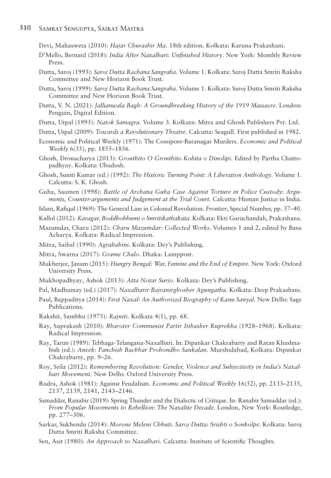Devi, Mahasweta (2010): *Hajar Churashir Ma*. 18th edition. Kolkata: Karuna Prakashani.

- D'Mello, Bernard (2018): *India After Naxalbari: Unfinished History*. New York: Monthly Review Press.
- Dutta, Saroj (1993): *Saroj Dutta Rachana Sangraha*. Volume 1. Kolkata: Saroj Dutta Smriti Raksha Committee and New Horizon Book Trust.
- Dutta, Saroj (1999): *Saroj Dutta Rachana Sangraha*. Volume 1. Kolkata: Saroj Dutta Smriti Raksha Committee and New Horizon Book Trust.
- Dutta, V. N. (2021): *Jallianwala Bagh: A Groundbreaking History of the 1919 Massacre.* London: Penguin, Digital Edition.
- Dutta, Utpal (1995): *Natok Samagra.* Volume 3. Kolkata: Mitra and Ghosh Publishers Pvt. Ltd.
- Dutta, Utpal (2009): *Towards a Revolutionary Theatre*. Calcutta: Seagull. First published in 1982.
- Economic and Political Weekly (1971): The Cossipore-Baranagar Murders. *Economic and Political Weekly* 6(35), pp. 1855–1856.
- Ghosh, Dronacharya (2013): *Gronthito O Gronthito Kobita o Dinolipi*. Edited by Partha Chattopadhyay. Kolkata: Ubudosh.
- Ghosh, Suniti Kumar (ed.) (1992): *The Historic Turning Point: A Liberation Anthology.* Volume 1. Calcutta: S. K. Ghosh.
- Guha, Saumen (1998): *Battle of Archana Guha Case Against Torture in Police Custody: Arguments, Counter-arguments and Judgement at the Trial Court*. Calcutta: Human Justice in India.

Islam, Rafiqul (1969): The General Line in Colonial Revolution. *Frontier*, Special Number, pp. 37–40.

- Kallol (2012): *Karagar, Boddhobhumi o Smritikathakata*. Kolkata: Ekti Guruchandali, Prakashana.
- Mazumdar, Charu (2012): *Charu Mazumdar: Collected Works*. Volumes 1 and 2, edited by Basu Acharya. Kolkata: Radical Impression.
- Mitra, Saibal (1990): *Agrabahini*. Kolkata: Dey's Publishing.
- Mitra, Swarna (2017): *Grame Chalo*. Dhaka: Lamppost.
- Mukherjee, Janam (2015): *Hungry Bengal: War, Famine and the End of Empire.* New York: Oxford University Press.
- Mukhopadhyay, Ashok (2013): *Atta Notar Surjo*. Kolkata: Dey's Publishing.
- Pal, Madhumay (ed.) (2017): *Naxalbarir Bajranirghosher Agungatha.* Kolkata: Deep Prakashani.
- Paul, Bappaditya (2014): *First Naxal: An Authorized Biography of Kanu Sanyal.* New Delhi: Sage Publications.
- Rakshit, Sambhu (1975): *Rajniti.* Kolkata 4(1), pp. 68.
- Ray, Suprakash (2010): *Bharoter Communist Partir Itihasher Ruprekha* (1928–1968). Kolkata: Radical Impression.
- Ray, Tarun (1989): Tebhaga-Telangana-Naxalbari. In: Dipankar Chakrabarty and Ratan Khashnabish (ed.): *Aneek: Panchish Bachhar Probondho Sankalan*. Murshidabad, Kolkata: Dipankar Chakrabarty, pp. 9–26.
- Roy, Srila (2012): *Remembering Revolution: Gender, Violence and Subjectivity in India's Naxalbari Movement.* New Delhi: Oxford University Press.
- Rudra, Ashok (1981): Against Feudalism. *Economic and Political Weekly* 16(52), pp. 2133–2135, 2137, 2139, 2141, 2143–2146.
- Samaddar, Ranabir (2019): Spring Thunder and the Dialectic of Critique. In: Ranabir Samaddar (ed.): *From Popular Movements to Rebellion: The Naxalite Decade*. London, New York: Routledge, pp. 277–306.
- Sarkar, Sukhendu (2014): *Morone Meleni Chhuti. Saroj Dutta: Srishti o Sonkolpe*. Kolkata: Saroj Dutta Smriti Raksha Committee.
- Sen, Asit (1980): *An Approach to Naxalbari*. Calcutta: Institute of Scientific Thoughts.